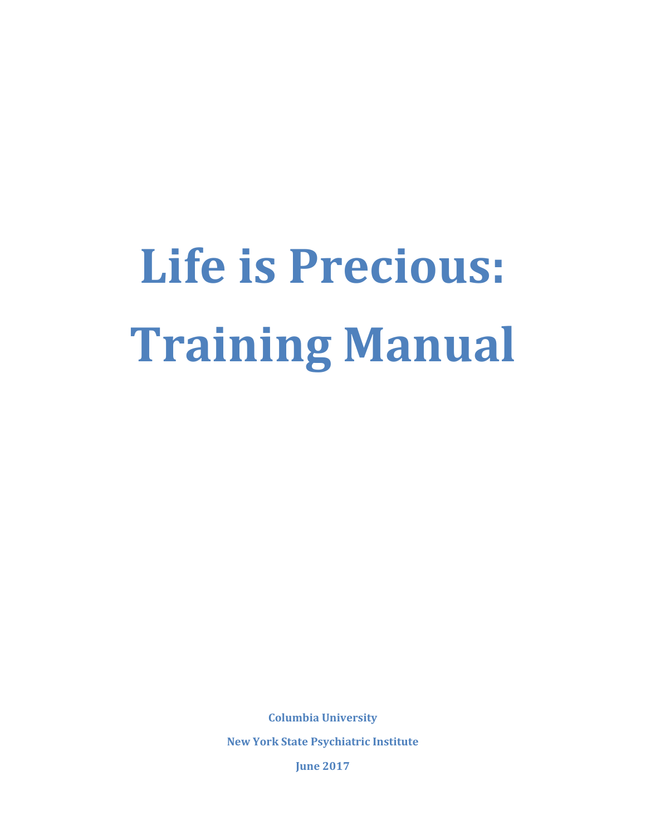# **Life is Precious: Training Manual**

**Columbia University New York State Psychiatric Institute June 2017**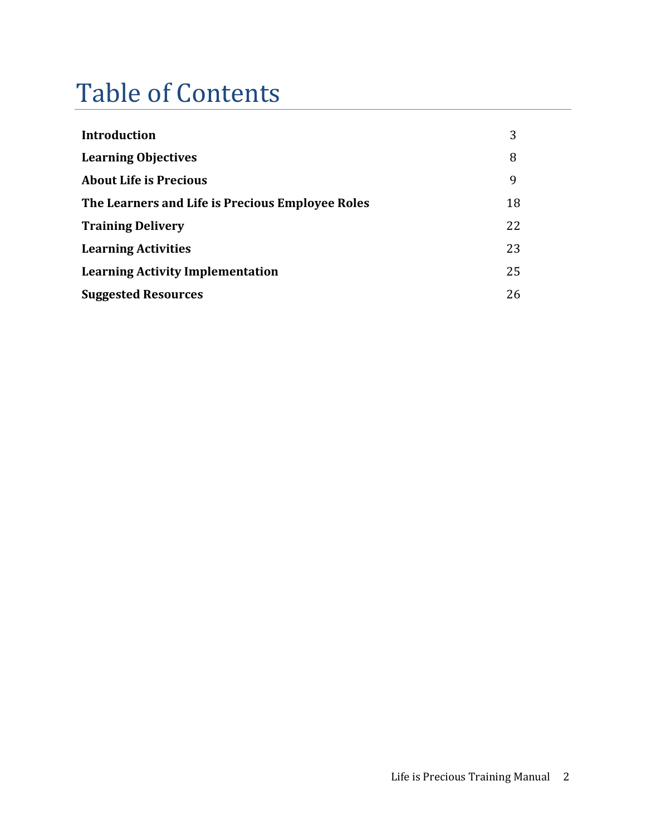# Table of Contents

| Introduction                                     | 3  |
|--------------------------------------------------|----|
| <b>Learning Objectives</b>                       | 8  |
| <b>About Life is Precious</b>                    | 9  |
| The Learners and Life is Precious Employee Roles | 18 |
| <b>Training Delivery</b>                         | 22 |
| <b>Learning Activities</b>                       | 23 |
| <b>Learning Activity Implementation</b>          | 25 |
| <b>Suggested Resources</b>                       | 26 |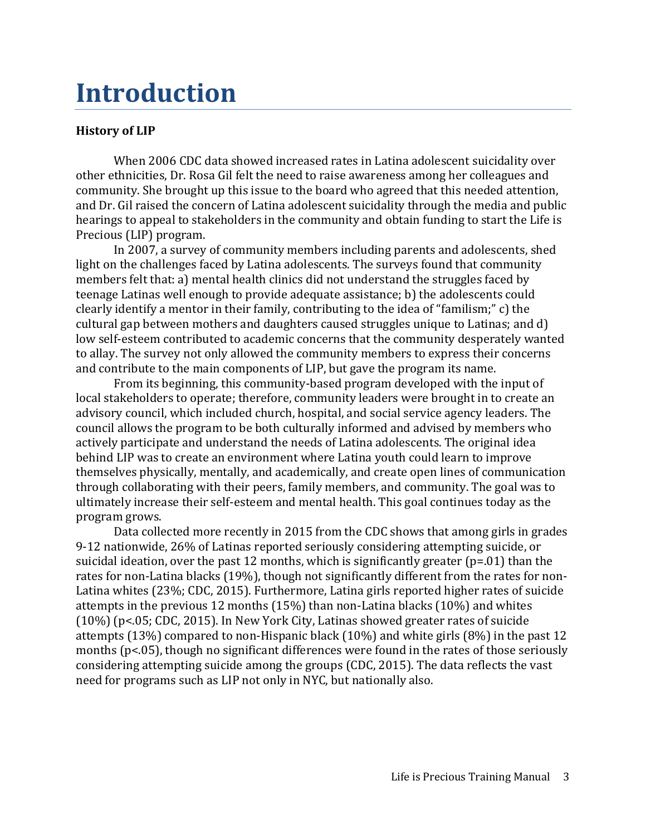# **Introduction**

### **History of LIP**

When 2006 CDC data showed increased rates in Latina adolescent suicidality over other ethnicities, Dr. Rosa Gil felt the need to raise awareness among her colleagues and community. She brought up this issue to the board who agreed that this needed attention, and Dr. Gil raised the concern of Latina adolescent suicidality through the media and public hearings to appeal to stakeholders in the community and obtain funding to start the Life is Precious (LIP) program.

In 2007, a survey of community members including parents and adolescents, shed light on the challenges faced by Latina adolescents. The surveys found that community members felt that: a) mental health clinics did not understand the struggles faced by teenage Latinas well enough to provide adequate assistance; b) the adolescents could clearly identify a mentor in their family, contributing to the idea of "familism;" c) the cultural gap between mothers and daughters caused struggles unique to Latinas; and d) low self-esteem contributed to academic concerns that the community desperately wanted to allay. The survey not only allowed the community members to express their concerns and contribute to the main components of LIP, but gave the program its name.

From its beginning, this community-based program developed with the input of local stakeholders to operate; therefore, community leaders were brought in to create an advisory council, which included church, hospital, and social service agency leaders. The council allows the program to be both culturally informed and advised by members who actively participate and understand the needs of Latina adolescents. The original idea behind LIP was to create an environment where Latina youth could learn to improve themselves physically, mentally, and academically, and create open lines of communication through collaborating with their peers, family members, and community. The goal was to ultimately increase their self-esteem and mental health. This goal continues today as the program grows.

Data collected more recently in 2015 from the CDC shows that among girls in grades 9-12 nationwide, 26% of Latinas reported seriously considering attempting suicide, or suicidal ideation, over the past 12 months, which is significantly greater  $(p=01)$  than the rates for non-Latina blacks (19%), though not significantly different from the rates for non-Latina whites (23%; CDC, 2015). Furthermore, Latina girls reported higher rates of suicide attempts in the previous 12 months (15%) than non-Latina blacks (10%) and whites (10%) (p<.05; CDC, 2015). In New York City, Latinas showed greater rates of suicide attempts (13%) compared to non-Hispanic black (10%) and white girls (8%) in the past 12 months (p<.05), though no significant differences were found in the rates of those seriously considering attempting suicide among the groups (CDC, 2015). The data reflects the vast need for programs such as LIP not only in NYC, but nationally also.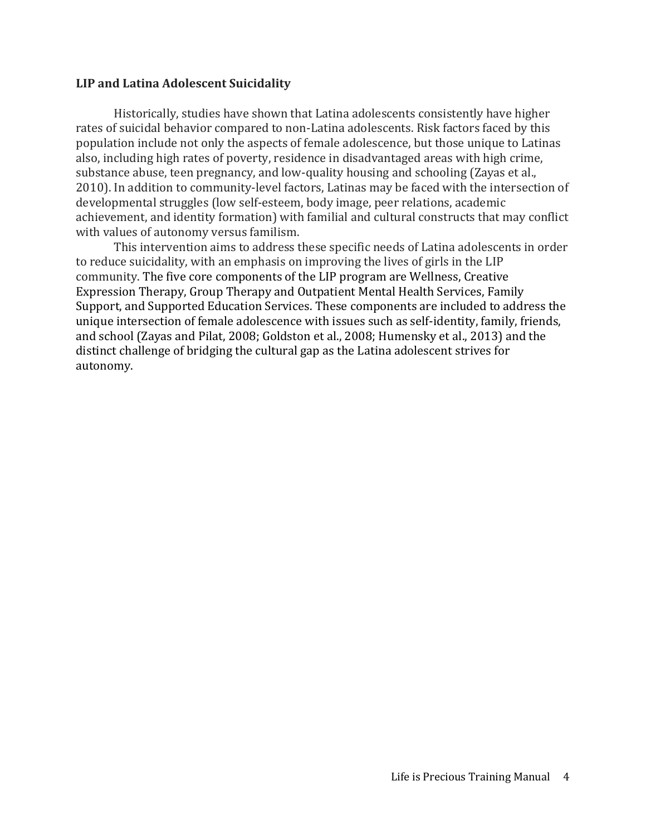#### **LIP and Latina Adolescent Suicidality**

Historically, studies have shown that Latina adolescents consistently have higher rates of suicidal behavior compared to non-Latina adolescents. Risk factors faced by this population include not only the aspects of female adolescence, but those unique to Latinas also, including high rates of poverty, residence in disadvantaged areas with high crime, substance abuse, teen pregnancy, and low-quality housing and schooling (Zayas et al., 2010). In addition to community-level factors, Latinas may be faced with the intersection of developmental struggles (low self-esteem, body image, peer relations, academic achievement, and identity formation) with familial and cultural constructs that may conflict with values of autonomy versus familism.

This intervention aims to address these specific needs of Latina adolescents in order to reduce suicidality, with an emphasis on improving the lives of girls in the LIP community. The five core components of the LIP program are Wellness, Creative Expression Therapy, Group Therapy and Outpatient Mental Health Services, Family Support, and Supported Education Services. These components are included to address the unique intersection of female adolescence with issues such as self-identity, family, friends, and school (Zayas and Pilat, 2008; Goldston et al., 2008; Humensky et al., 2013) and the distinct challenge of bridging the cultural gap as the Latina adolescent strives for autonomy.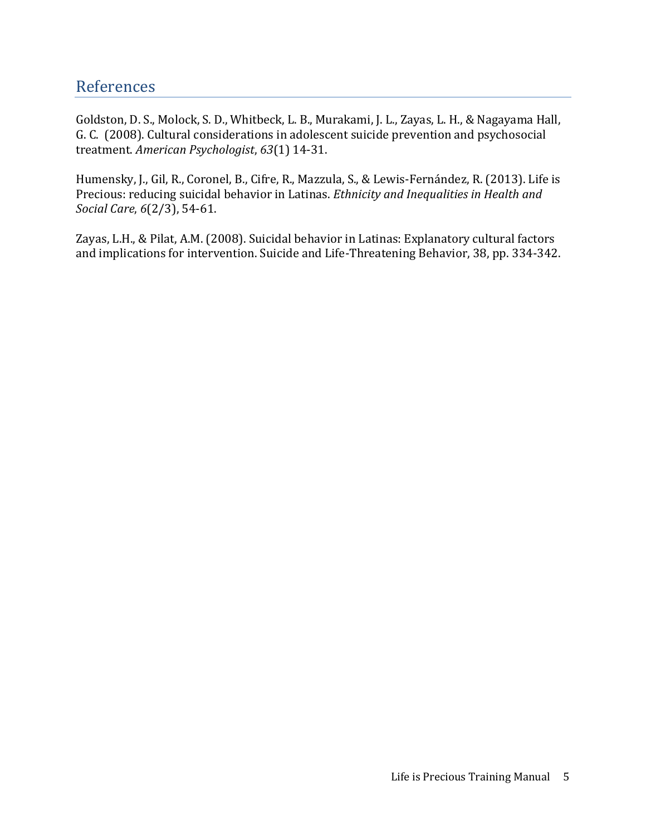# References

Goldston, D. S., Molock, S. D., Whitbeck, L. B., Murakami, J. L., Zayas, L. H., & Nagayama Hall, G. C. (2008). Cultural considerations in adolescent suicide prevention and psychosocial treatment. *American Psychologist*, *63*(1) 14-31.

Humensky, J., Gil, R., Coronel, B., Cifre, R., Mazzula, S., & Lewis-Fernández, R. (2013). Life is Precious: reducing suicidal behavior in Latinas. *Ethnicity and Inequalities in Health and Social Care*, *6*(2/3), 54-61.

Zayas, L.H., & Pilat, A.M. (2008). Suicidal behavior in Latinas: Explanatory cultural factors and implications for intervention. Suicide and Life-Threatening Behavior, 38, pp. 334-342.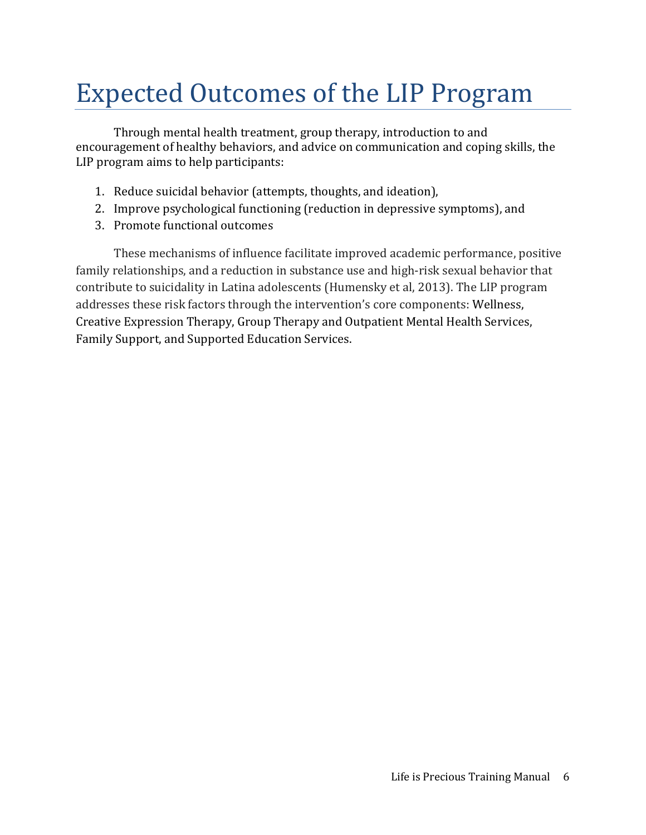# Expected Outcomes of the LIP Program

Through mental health treatment, group therapy, introduction to and encouragement of healthy behaviors, and advice on communication and coping skills, the LIP program aims to help participants:

- 1. Reduce suicidal behavior (attempts, thoughts, and ideation),
- 2. Improve psychological functioning (reduction in depressive symptoms), and
- 3. Promote functional outcomes

These mechanisms of influence facilitate improved academic performance, positive family relationships, and a reduction in substance use and high-risk sexual behavior that contribute to suicidality in Latina adolescents (Humensky et al, 2013). The LIP program addresses these risk factors through the intervention's core components: Wellness, Creative Expression Therapy, Group Therapy and Outpatient Mental Health Services, Family Support, and Supported Education Services.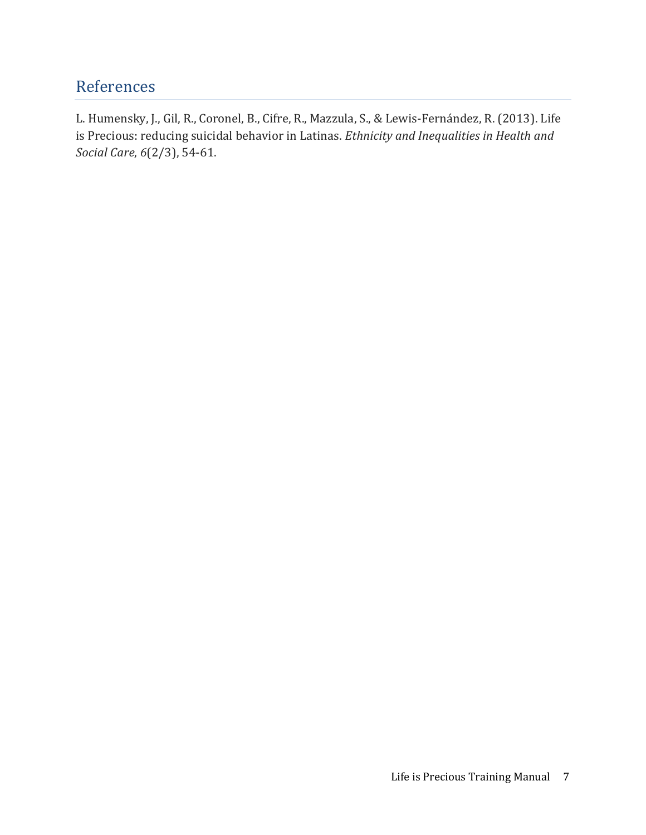# References

L. Humensky, J., Gil, R., Coronel, B., Cifre, R., Mazzula, S., & Lewis-Fernández, R. (2013). Life is Precious: reducing suicidal behavior in Latinas. *Ethnicity and Inequalities in Health and Social Care*, *6*(2/3), 54-61.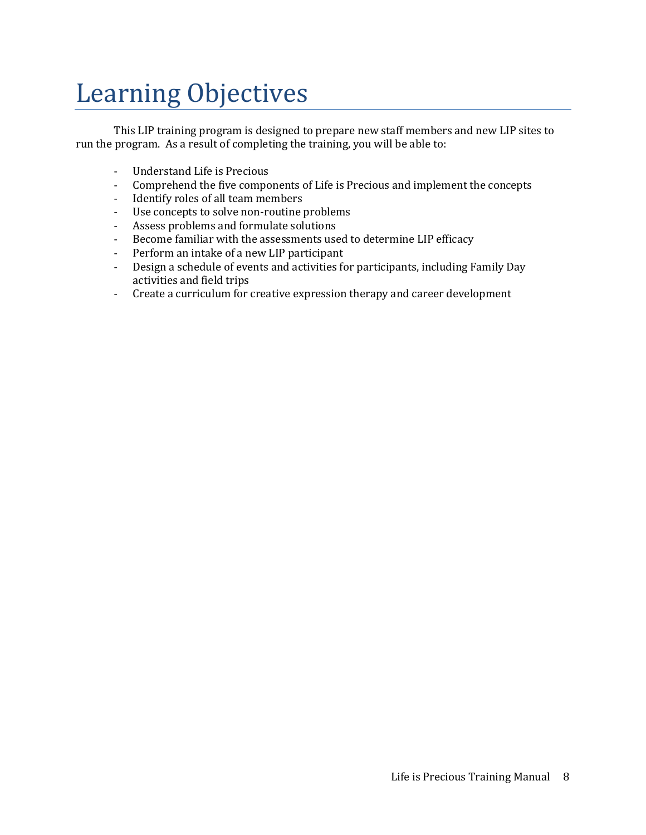# Learning Objectives

This LIP training program is designed to prepare new staff members and new LIP sites to run the program. As a result of completing the training, you will be able to:

- Understand Life is Precious
- Comprehend the five components of Life is Precious and implement the concepts
- Identify roles of all team members
- Use concepts to solve non-routine problems
- Assess problems and formulate solutions
- Become familiar with the assessments used to determine LIP efficacy
- Perform an intake of a new LIP participant
- Design a schedule of events and activities for participants, including Family Day activities and field trips
- Create a curriculum for creative expression therapy and career development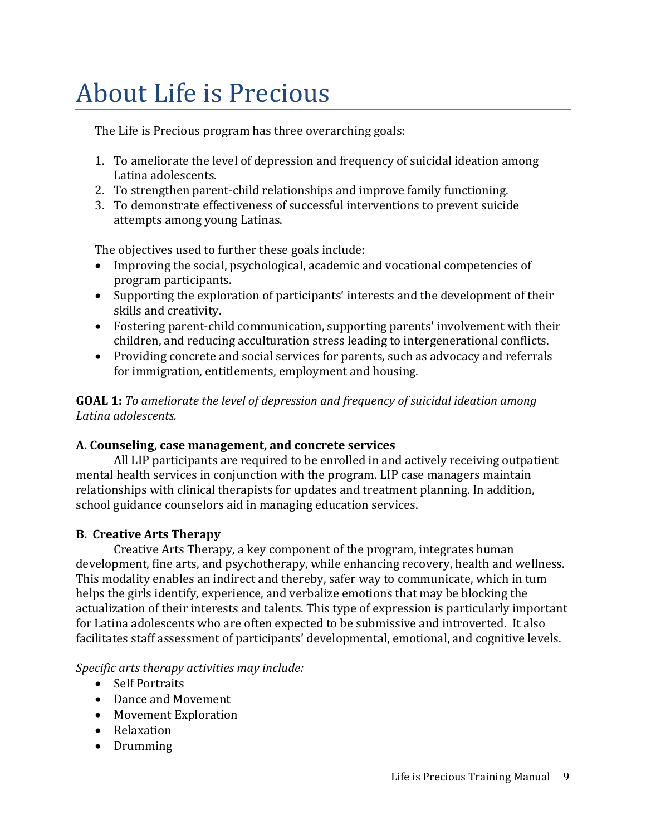# About Life is Precious

The Life is Precious program has three overarching goals:

- 1. To ameliorate the level of depression and frequency of suicidal ideation among Latina adolescents.
- 2. To strengthen parent-child relationships and improve family functioning.
- 3. To demonstrate effectiveness of successful interventions to prevent suicide attempts among young Latinas.

The objectives used to further these goals include:

- Improving the social, psychological, academic and vocational competencies of program participants.
- Supporting the exploration of participants' interests and the development of their skills and creativity.
- Fostering parent-child communication, supporting parents' involvement with their children, and reducing acculturation stress leading to intergenerational conflicts.
- Providing concrete and social services for parents, such as advocacy and referrals for immigration, entitlements, employment and housing.

**GOAL 1:** *To ameliorate the level of depression and frequency of suicidal ideation among Latina adolescents.*

# **A. Counseling, case management, and concrete services**

All LIP participants are required to be enrolled in and actively receiving outpatient mental health services in conjunction with the program. LIP case managers maintain relationships with clinical therapists for updates and treatment planning. In addition, school guidance counselors aid in managing education services.

# **B. Creative Arts Therapy**

Creative Arts Therapy, a key component of the program, integrates human development, fine arts, and psychotherapy, while enhancing recovery, health and wellness. This modality enables an indirect and thereby, safer way to communicate, which in tum helps the girls identify, experience, and verbalize emotions that may be blocking the actualization of their interests and talents. This type of expression is particularly important for Latina adolescents who are often expected to be submissive and introverted. It also facilitates staff assessment of participants' developmental, emotional, and cognitive levels.

*Specific arts therapy activities may include:*

- Self Portraits
- Dance and Movement
- Movement Exploration
- Relaxation
- Drumming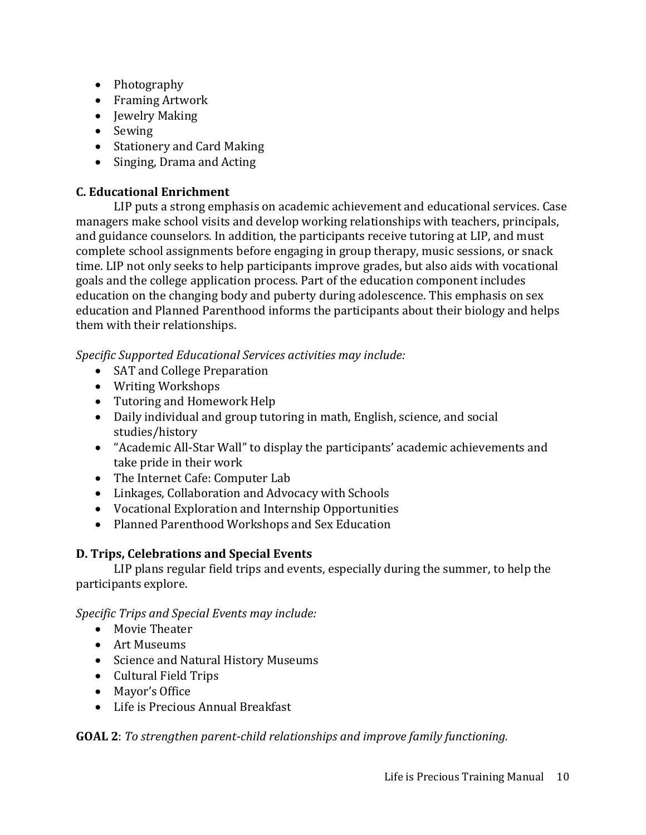- Photography
- Framing Artwork
- Jewelry Making
- Sewing
- Stationery and Card Making
- Singing, Drama and Acting

# **C. Educational Enrichment**

LIP puts a strong emphasis on academic achievement and educational services. Case managers make school visits and develop working relationships with teachers, principals, and guidance counselors. In addition, the participants receive tutoring at LIP, and must complete school assignments before engaging in group therapy, music sessions, or snack time. LIP not only seeks to help participants improve grades, but also aids with vocational goals and the college application process. Part of the education component includes education on the changing body and puberty during adolescence. This emphasis on sex education and Planned Parenthood informs the participants about their biology and helps them with their relationships.

*Specific Supported Educational Services activities may include:*

- SAT and College Preparation
- Writing Workshops
- Tutoring and Homework Help
- Daily individual and group tutoring in math, English, science, and social studies/history
- "Academic All-Star Wall" to display the participants' academic achievements and take pride in their work
- The Internet Cafe: Computer Lab
- Linkages, Collaboration and Advocacy with Schools
- Vocational Exploration and Internship Opportunities
- Planned Parenthood Workshops and Sex Education

# **D. Trips, Celebrations and Special Events**

LIP plans regular field trips and events, especially during the summer, to help the participants explore.

*Specific Trips and Special Events may include:*

- Movie Theater
- Art Museums
- Science and Natural History Museums
- Cultural Field Trips
- Mayor's Office
- Life is Precious Annual Breakfast

**GOAL 2**: *To strengthen parent-child relationships and improve family functioning.*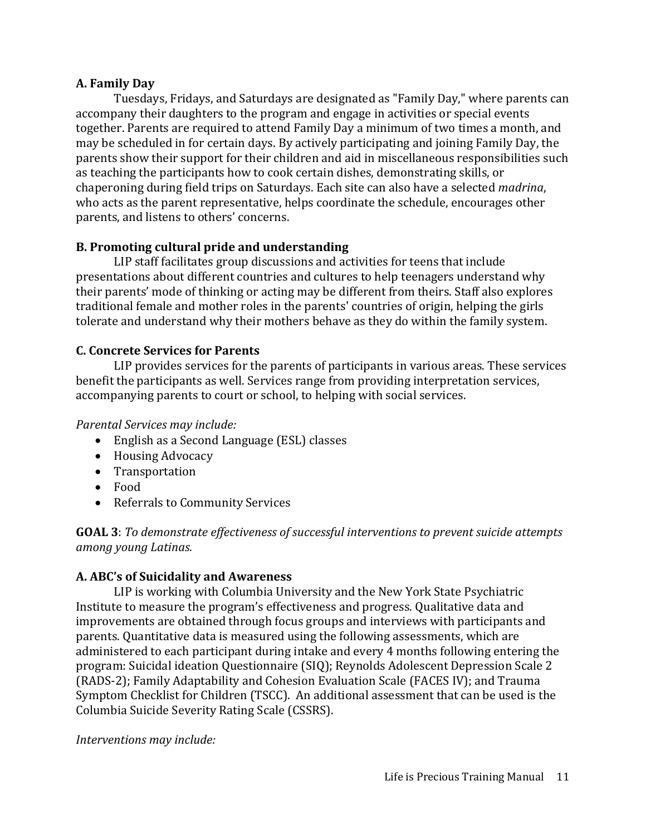#### **A. Family Day**

Tuesdays, Fridays, and Saturdays are designated as "Family Day," where parents can accompany their daughters to the program and engage in activities or special events together. Parents are required to attend Family Day a minimum of two times a month, and may be scheduled in for certain days. By actively participating and joining Family Day, the parents show their support for their children and aid in miscellaneous responsibilities such as teaching the participants how to cook certain dishes, demonstrating skills, or chaperoning during field trips on Saturdays. Each site can also have a selected *madrina*, who acts as the parent representative, helps coordinate the schedule, encourages other parents, and listens to others' concerns.

# **B. Promoting cultural pride and understanding**

LIP staff facilitates group discussions and activities for teens that include presentations about different countries and cultures to help teenagers understand why their parents' mode of thinking or acting may be different from theirs. Staff also explores traditional female and mother roles in the parents' countries of origin, helping the girls tolerate and understand why their mothers behave as they do within the family system.

#### **C. Concrete Services for Parents**

LIP provides services for the parents of participants in various areas. These services benefit the participants as well. Services range from providing interpretation services, accompanying parents to court or school, to helping with social services.

*Parental Services may include:*

- English as a Second Language (ESL) classes
- Housing Advocacy
- Transportation
- Food
- Referrals to Community Services

**GOAL 3**: *To demonstrate effectiveness of successful interventions to prevent suicide attempts among young Latinas.*

# **A. ABC's of Suicidality and Awareness**

LIP is working with Columbia University and the New York State Psychiatric Institute to measure the program's effectiveness and progress. Qualitative data and improvements are obtained through focus groups and interviews with participants and parents. Quantitative data is measured using the following assessments, which are administered to each participant during intake and every 4 months following entering the program: Suicidal ideation Questionnaire (SIQ); Reynolds Adolescent Depression Scale 2 (RADS-2); Family Adaptability and Cohesion Evaluation Scale (FACES IV); and Trauma Symptom Checklist for Children (TSCC). An additional assessment that can be used is the Columbia Suicide Severity Rating Scale (CSSRS).

*Interventions may include:*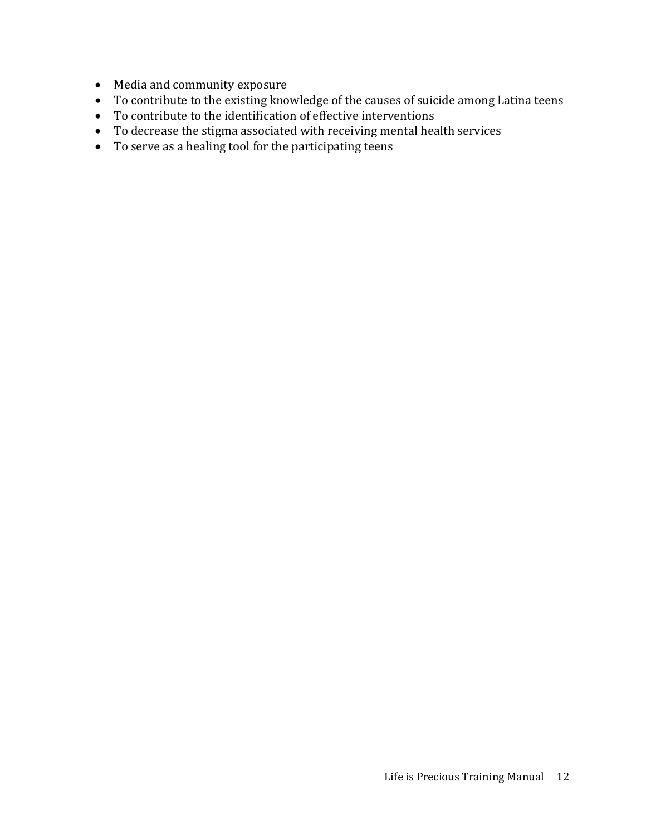- Media and community exposure
- To contribute to the existing knowledge of the causes of suicide among Latina teens
- To contribute to the identification of effective interventions
- To decrease the stigma associated with receiving mental health services
- To serve as a healing tool for the participating teens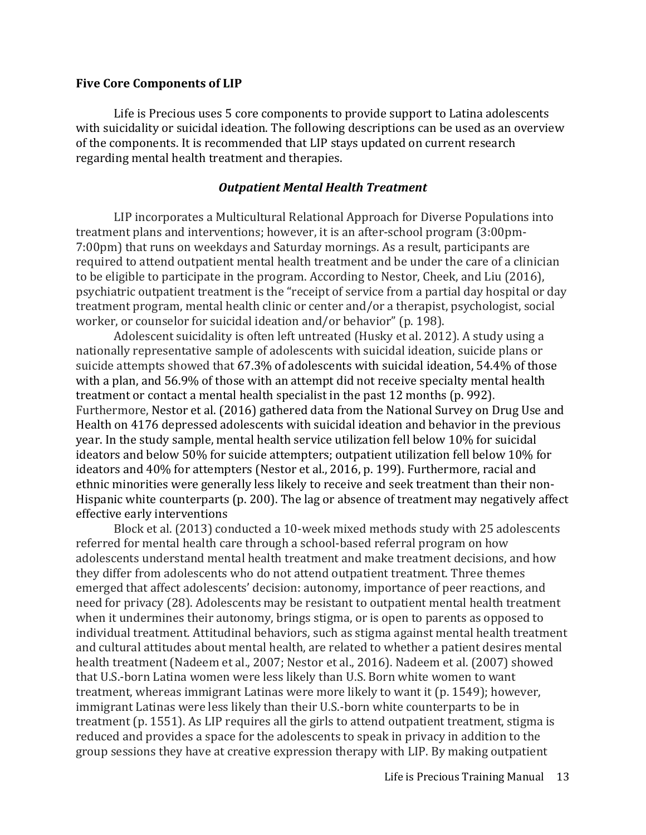#### **Five Core Components of LIP**

Life is Precious uses 5 core components to provide support to Latina adolescents with suicidality or suicidal ideation. The following descriptions can be used as an overview of the components. It is recommended that LIP stays updated on current research regarding mental health treatment and therapies.

#### *Outpatient Mental Health Treatment*

LIP incorporates a Multicultural Relational Approach for Diverse Populations into treatment plans and interventions; however, it is an after-school program (3:00pm-7:00pm) that runs on weekdays and Saturday mornings. As a result, participants are required to attend outpatient mental health treatment and be under the care of a clinician to be eligible to participate in the program. According to Nestor, Cheek, and Liu (2016), psychiatric outpatient treatment is the "receipt of service from a partial day hospital or day treatment program, mental health clinic or center and/or a therapist, psychologist, social worker, or counselor for suicidal ideation and/or behavior" (p. 198).

Adolescent suicidality is often left untreated (Husky et al. 2012). A study using a nationally representative sample of adolescents with suicidal ideation, suicide plans or suicide attempts showed that 67.3% of adolescents with suicidal ideation, 54.4% of those with a plan, and 56.9% of those with an attempt did not receive specialty mental health treatment or contact a mental health specialist in the past 12 months (p. 992). Furthermore, Nestor et al. (2016) gathered data from the National Survey on Drug Use and Health on 4176 depressed adolescents with suicidal ideation and behavior in the previous year. In the study sample, mental health service utilization fell below 10% for suicidal ideators and below 50% for suicide attempters; outpatient utilization fell below 10% for ideators and 40% for attempters (Nestor et al., 2016, p. 199). Furthermore, racial and ethnic minorities were generally less likely to receive and seek treatment than their non-Hispanic white counterparts (p. 200). The lag or absence of treatment may negatively affect effective early interventions

Block et al. (2013) conducted a 10-week mixed methods study with 25 adolescents referred for mental health care through a school-based referral program on how adolescents understand mental health treatment and make treatment decisions, and how they differ from adolescents who do not attend outpatient treatment. Three themes emerged that affect adolescents' decision: autonomy, importance of peer reactions, and need for privacy (28). Adolescents may be resistant to outpatient mental health treatment when it undermines their autonomy, brings stigma, or is open to parents as opposed to individual treatment. Attitudinal behaviors, such as stigma against mental health treatment and cultural attitudes about mental health, are related to whether a patient desires mental health treatment (Nadeem et al., 2007; Nestor et al., 2016). Nadeem et al. (2007) showed that U.S.-born Latina women were less likely than U.S. Born white women to want treatment, whereas immigrant Latinas were more likely to want it (p. 1549); however, immigrant Latinas were less likely than their U.S.-born white counterparts to be in treatment (p. 1551). As LIP requires all the girls to attend outpatient treatment, stigma is reduced and provides a space for the adolescents to speak in privacy in addition to the group sessions they have at creative expression therapy with LIP. By making outpatient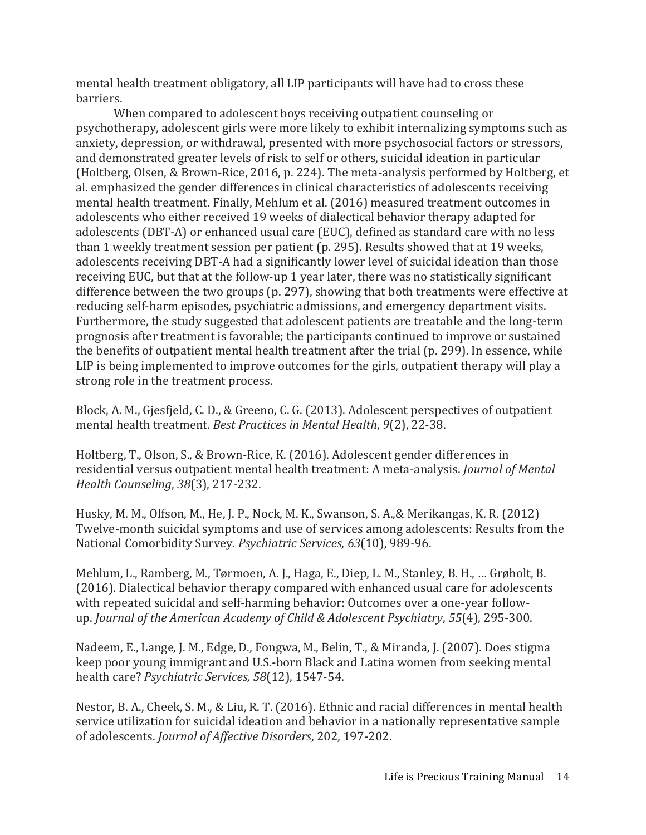mental health treatment obligatory, all LIP participants will have had to cross these barriers.

When compared to adolescent boys receiving outpatient counseling or psychotherapy, adolescent girls were more likely to exhibit internalizing symptoms such as anxiety, depression, or withdrawal, presented with more psychosocial factors or stressors, and demonstrated greater levels of risk to self or others, suicidal ideation in particular (Holtberg, Olsen, & Brown-Rice, 2016, p. 224). The meta-analysis performed by Holtberg, et al. emphasized the gender differences in clinical characteristics of adolescents receiving mental health treatment. Finally, Mehlum et al. (2016) measured treatment outcomes in adolescents who either received 19 weeks of dialectical behavior therapy adapted for adolescents (DBT-A) or enhanced usual care (EUC), defined as standard care with no less than 1 weekly treatment session per patient (p. 295). Results showed that at 19 weeks, adolescents receiving DBT-A had a significantly lower level of suicidal ideation than those receiving EUC, but that at the follow-up 1 year later, there was no statistically significant difference between the two groups (p. 297), showing that both treatments were effective at reducing self-harm episodes, psychiatric admissions, and emergency department visits. Furthermore, the study suggested that adolescent patients are treatable and the long-term prognosis after treatment is favorable; the participants continued to improve or sustained the benefits of outpatient mental health treatment after the trial (p. 299). In essence, while LIP is being implemented to improve outcomes for the girls, outpatient therapy will play a strong role in the treatment process.

Block, A. M., Gjesfjeld, C. D., & Greeno, C. G. (2013). Adolescent perspectives of outpatient mental health treatment. *Best Practices in Mental Health*, *9*(2), 22-38.

Holtberg, T., Olson, S., & Brown-Rice, K. (2016). Adolescent gender differences in residential versus outpatient mental health treatment: A meta-analysis. *Journal of Mental Health Counseling*, *38*(3), 217-232.

Husky, M. M., Olfson, M., He, J. P., Nock, M. K., Swanson, S. A.,& Merikangas, K. R. (2012) Twelve-month suicidal symptoms and use of services among adolescents: Results from the National Comorbidity Survey. *Psychiatric Services*, *63*(10), 989-96.

Mehlum, L., Ramberg, M., Tørmoen, A. J., Haga, E., Diep, L. M., Stanley, B. H., … Grøholt, B. (2016). Dialectical behavior therapy compared with enhanced usual care for adolescents with repeated suicidal and self-harming behavior: Outcomes over a one-year followup. *Journal of the American Academy of Child & Adolescent Psychiatry*, *55*(4), 295-300.

Nadeem, E., Lange, J. M., Edge, D., Fongwa, M., Belin, T., & Miranda, J. (2007). Does stigma keep poor young immigrant and U.S.-born Black and Latina women from seeking mental health care? *Psychiatric Services, 58*(12), 1547-54.

Nestor, B. A., Cheek, S. M., & Liu, R. T. (2016). Ethnic and racial differences in mental health service utilization for suicidal ideation and behavior in a nationally representative sample of adolescents. *Journal of Affective Disorders*, 202, 197-202.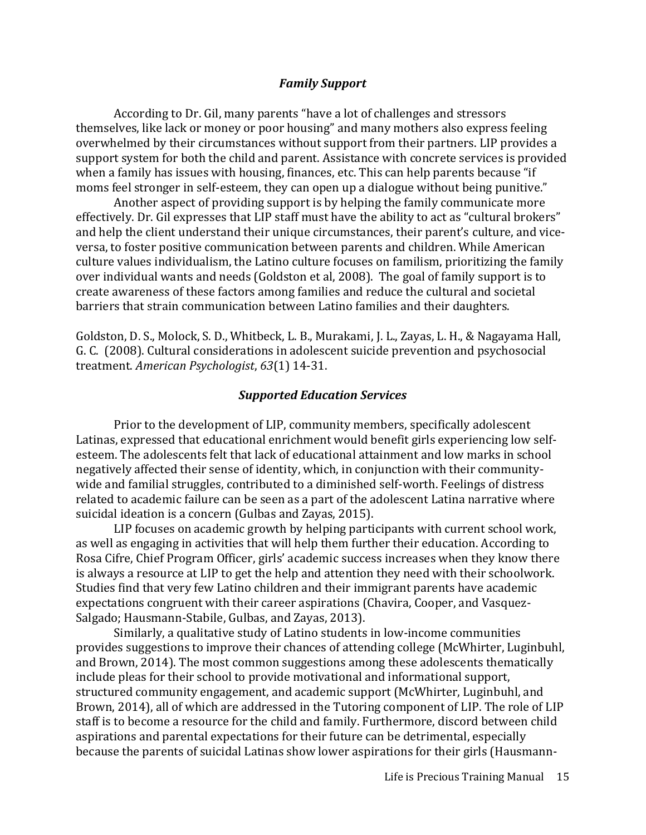#### *Family Support*

According to Dr. Gil, many parents "have a lot of challenges and stressors themselves, like lack or money or poor housing" and many mothers also express feeling overwhelmed by their circumstances without support from their partners. LIP provides a support system for both the child and parent. Assistance with concrete services is provided when a family has issues with housing, finances, etc. This can help parents because "if moms feel stronger in self-esteem, they can open up a dialogue without being punitive."

Another aspect of providing support is by helping the family communicate more effectively. Dr. Gil expresses that LIP staff must have the ability to act as "cultural brokers" and help the client understand their unique circumstances, their parent's culture, and viceversa, to foster positive communication between parents and children. While American culture values individualism, the Latino culture focuses on familism, prioritizing the family over individual wants and needs (Goldston et al, 2008). The goal of family support is to create awareness of these factors among families and reduce the cultural and societal barriers that strain communication between Latino families and their daughters.

Goldston, D. S., Molock, S. D., Whitbeck, L. B., Murakami, J. L., Zayas, L. H., & Nagayama Hall, G. C. (2008). Cultural considerations in adolescent suicide prevention and psychosocial treatment. *American Psychologist*, *63*(1) 14-31.

#### *Supported Education Services*

Prior to the development of LIP, community members, specifically adolescent Latinas, expressed that educational enrichment would benefit girls experiencing low selfesteem. The adolescents felt that lack of educational attainment and low marks in school negatively affected their sense of identity, which, in conjunction with their communitywide and familial struggles, contributed to a diminished self-worth. Feelings of distress related to academic failure can be seen as a part of the adolescent Latina narrative where suicidal ideation is a concern (Gulbas and Zayas, 2015).

LIP focuses on academic growth by helping participants with current school work, as well as engaging in activities that will help them further their education. According to Rosa Cifre, Chief Program Officer, girls' academic success increases when they know there is always a resource at LIP to get the help and attention they need with their schoolwork. Studies find that very few Latino children and their immigrant parents have academic expectations congruent with their career aspirations (Chavira, Cooper, and Vasquez-Salgado; Hausmann-Stabile, Gulbas, and Zayas, 2013).

Similarly, a qualitative study of Latino students in low-income communities provides suggestions to improve their chances of attending college (McWhirter, Luginbuhl, and Brown, 2014). The most common suggestions among these adolescents thematically include pleas for their school to provide motivational and informational support, structured community engagement, and academic support (McWhirter, Luginbuhl, and Brown, 2014), all of which are addressed in the Tutoring component of LIP. The role of LIP staff is to become a resource for the child and family. Furthermore, discord between child aspirations and parental expectations for their future can be detrimental, especially because the parents of suicidal Latinas show lower aspirations for their girls (Hausmann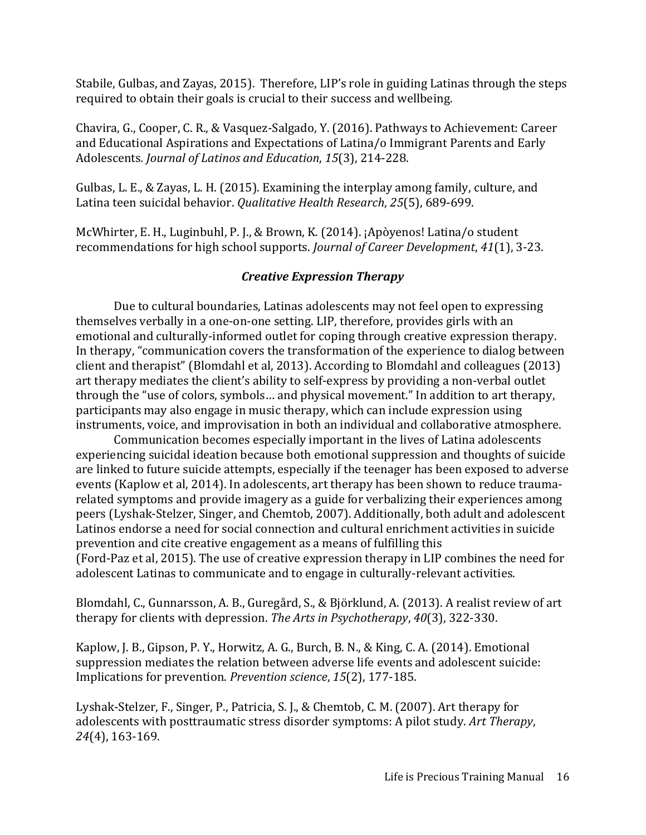Stabile, Gulbas, and Zayas, 2015). Therefore, LIP's role in guiding Latinas through the steps required to obtain their goals is crucial to their success and wellbeing.

Chavira, G., Cooper, C. R., & Vasquez-Salgado, Y. (2016). Pathways to Achievement: Career and Educational Aspirations and Expectations of Latina/o Immigrant Parents and Early Adolescents*. Journal of Latinos and Education*, *15*(3), 214-228.

Gulbas, L. E., & Zayas, L. H. (2015). Examining the interplay among family, culture, and Latina teen suicidal behavior. *Qualitative Health Research*, *25*(5), 689-699.

McWhirter, E. H., Luginbuhl, P. J., & Brown, K. (2014). ¡Apòyenos! Latina/o student recommendations for high school supports. *Journal of Career Development*, *41*(1), 3-23.

# *Creative Expression Therapy*

Due to cultural boundaries, Latinas adolescents may not feel open to expressing themselves verbally in a one-on-one setting. LIP, therefore, provides girls with an emotional and culturally-informed outlet for coping through creative expression therapy. In therapy, "communication covers the transformation of the experience to dialog between client and therapist" (Blomdahl et al, 2013). According to Blomdahl and colleagues (2013) art therapy mediates the client's ability to self-express by providing a non-verbal outlet through the "use of colors, symbols… and physical movement." In addition to art therapy, participants may also engage in music therapy, which can include expression using instruments, voice, and improvisation in both an individual and collaborative atmosphere.

Communication becomes especially important in the lives of Latina adolescents experiencing suicidal ideation because both emotional suppression and thoughts of suicide are linked to future suicide attempts, especially if the teenager has been exposed to adverse events (Kaplow et al, 2014). In adolescents, art therapy has been shown to reduce traumarelated symptoms and provide imagery as a guide for verbalizing their experiences among peers (Lyshak-Stelzer, Singer, and Chemtob, 2007). Additionally, both adult and adolescent Latinos endorse a need for social connection and cultural enrichment activities in suicide prevention and cite creative engagement as a means of fulfilling this (Ford-Paz et al, 2015). The use of creative expression therapy in LIP combines the need for adolescent Latinas to communicate and to engage in culturally-relevant activities.

Blomdahl, C., Gunnarsson, A. B., Guregård, S., & Björklund, A. (2013). A realist review of art therapy for clients with depression. *The Arts in Psychotherapy*, *40*(3), 322-330.

Kaplow, J. B., Gipson, P. Y., Horwitz, A. G., Burch, B. N., & King, C. A. (2014). Emotional suppression mediates the relation between adverse life events and adolescent suicide: Implications for prevention. *Prevention science*, *15*(2), 177-185.

Lyshak-Stelzer, F., Singer, P., Patricia, S. J., & Chemtob, C. M. (2007). Art therapy for adolescents with posttraumatic stress disorder symptoms: A pilot study. *Art Therapy*, *24*(4), 163-169.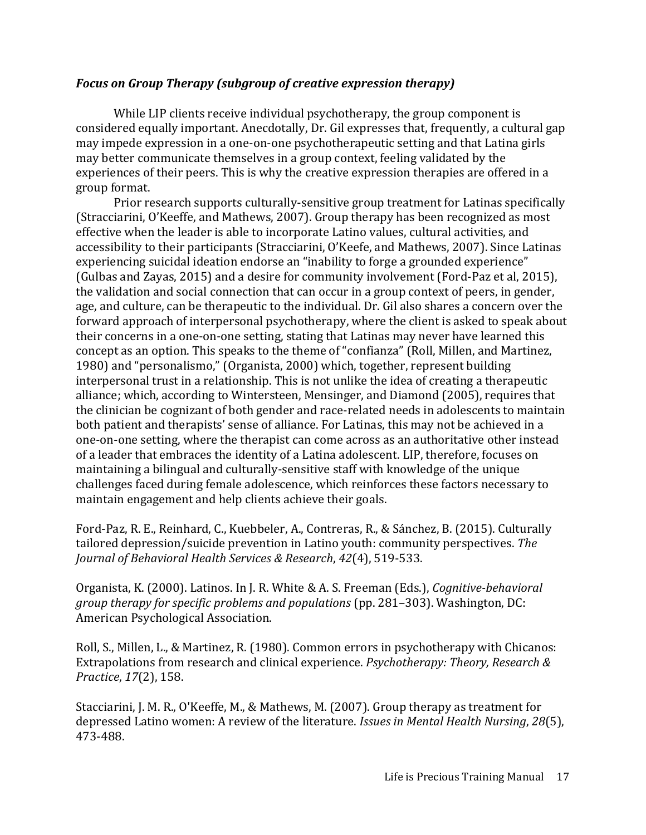#### *Focus on Group Therapy (subgroup of creative expression therapy)*

While LIP clients receive individual psychotherapy, the group component is considered equally important. Anecdotally, Dr. Gil expresses that, frequently, a cultural gap may impede expression in a one-on-one psychotherapeutic setting and that Latina girls may better communicate themselves in a group context, feeling validated by the experiences of their peers. This is why the creative expression therapies are offered in a group format.

Prior research supports culturally-sensitive group treatment for Latinas specifically (Stracciarini, O'Keeffe, and Mathews, 2007). Group therapy has been recognized as most effective when the leader is able to incorporate Latino values, cultural activities, and accessibility to their participants (Stracciarini, O'Keefe, and Mathews, 2007). Since Latinas experiencing suicidal ideation endorse an "inability to forge a grounded experience" (Gulbas and Zayas, 2015) and a desire for community involvement (Ford-Paz et al, 2015), the validation and social connection that can occur in a group context of peers, in gender, age, and culture, can be therapeutic to the individual. Dr. Gil also shares a concern over the forward approach of interpersonal psychotherapy, where the client is asked to speak about their concerns in a one-on-one setting, stating that Latinas may never have learned this concept as an option. This speaks to the theme of "confianza" (Roll, Millen, and Martinez, 1980) and "personalismo," (Organista, 2000) which, together, represent building interpersonal trust in a relationship. This is not unlike the idea of creating a therapeutic alliance; which, according to Wintersteen, Mensinger, and Diamond (2005), requires that the clinician be cognizant of both gender and race-related needs in adolescents to maintain both patient and therapists' sense of alliance. For Latinas, this may not be achieved in a one-on-one setting, where the therapist can come across as an authoritative other instead of a leader that embraces the identity of a Latina adolescent. LIP, therefore, focuses on maintaining a bilingual and culturally-sensitive staff with knowledge of the unique challenges faced during female adolescence, which reinforces these factors necessary to maintain engagement and help clients achieve their goals.

Ford-Paz, R. E., Reinhard, C., Kuebbeler, A., Contreras, R., & Sánchez, B. (2015). Culturally tailored depression/suicide prevention in Latino youth: community perspectives. *The Journal of Behavioral Health Services & Research*, *42*(4), 519-533.

Organista, K. (2000). Latinos. In J. R. White & A. S. Freeman (Eds.), *Cognitive-behavioral group therapy for specific problems and populations* (pp. 281–303). Washington, DC: American Psychological Association.

Roll, S., Millen, L., & Martinez, R. (1980). Common errors in psychotherapy with Chicanos: Extrapolations from research and clinical experience. *Psychotherapy: Theory, Research & Practice*, *17*(2), 158.

Stacciarini, J. M. R., O'Keeffe, M., & Mathews, M. (2007). Group therapy as treatment for depressed Latino women: A review of the literature. *Issues in Mental Health Nursing*, *28*(5), 473-488.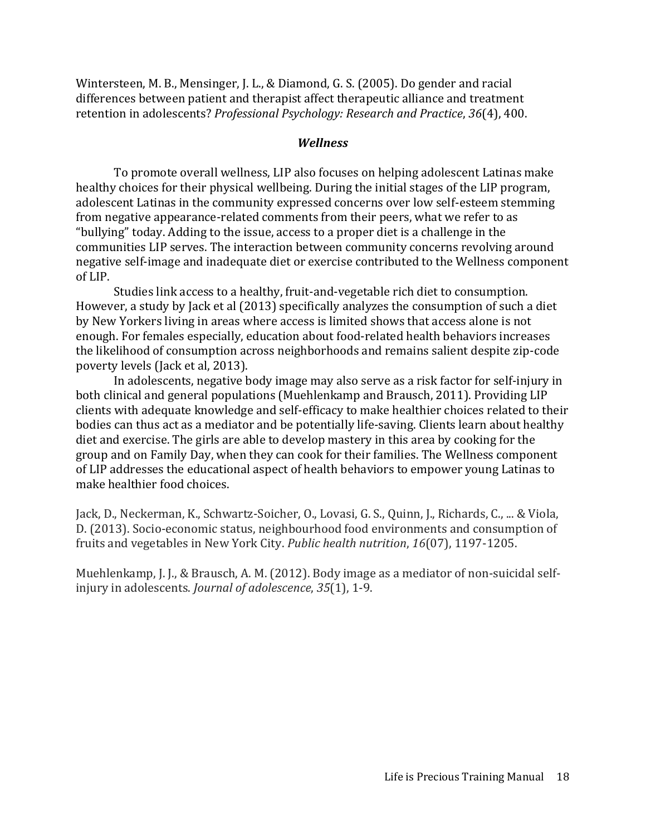Wintersteen, M. B., Mensinger, J. L., & Diamond, G. S. (2005). Do gender and racial differences between patient and therapist affect therapeutic alliance and treatment retention in adolescents? *Professional Psychology: Research and Practice*, *36*(4), 400.

#### *Wellness*

To promote overall wellness, LIP also focuses on helping adolescent Latinas make healthy choices for their physical wellbeing. During the initial stages of the LIP program, adolescent Latinas in the community expressed concerns over low self-esteem stemming from negative appearance-related comments from their peers, what we refer to as "bullying" today. Adding to the issue, access to a proper diet is a challenge in the communities LIP serves. The interaction between community concerns revolving around negative self-image and inadequate diet or exercise contributed to the Wellness component of LIP.

Studies link access to a healthy, fruit-and-vegetable rich diet to consumption. However, a study by Jack et al (2013) specifically analyzes the consumption of such a diet by New Yorkers living in areas where access is limited shows that access alone is not enough. For females especially, education about food-related health behaviors increases the likelihood of consumption across neighborhoods and remains salient despite zip-code poverty levels (Jack et al, 2013).

In adolescents, negative body image may also serve as a risk factor for self-injury in both clinical and general populations (Muehlenkamp and Brausch, 2011). Providing LIP clients with adequate knowledge and self-efficacy to make healthier choices related to their bodies can thus act as a mediator and be potentially life-saving. Clients learn about healthy diet and exercise. The girls are able to develop mastery in this area by cooking for the group and on Family Day, when they can cook for their families. The Wellness component of LIP addresses the educational aspect of health behaviors to empower young Latinas to make healthier food choices.

Jack, D., Neckerman, K., Schwartz-Soicher, O., Lovasi, G. S., Quinn, J., Richards, C., ... & Viola, D. (2013). Socio-economic status, neighbourhood food environments and consumption of fruits and vegetables in New York City. *Public health nutrition*, *16*(07), 1197-1205.

Muehlenkamp, J. J., & Brausch, A. M. (2012). Body image as a mediator of non-suicidal selfinjury in adolescents. *Journal of adolescence*, *35*(1), 1-9.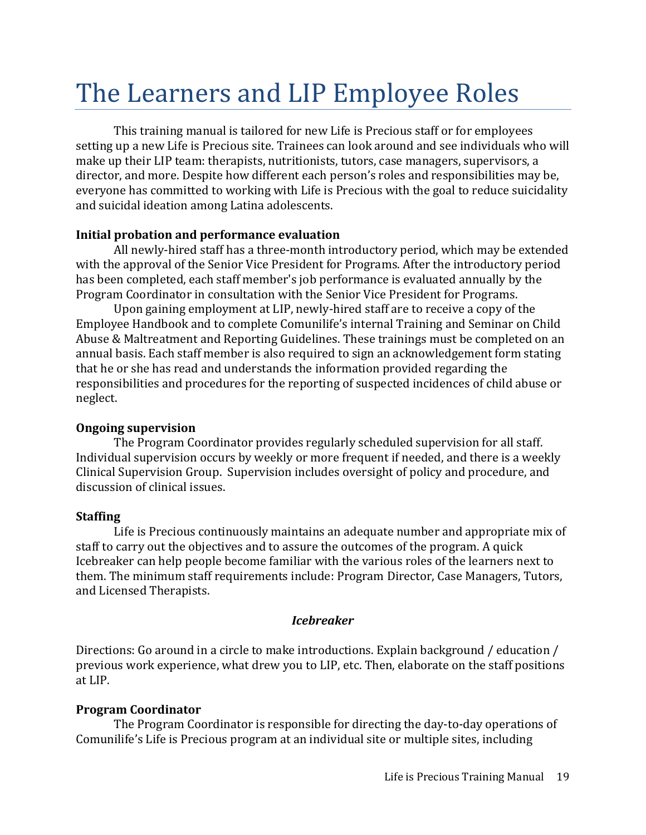# The Learners and LIP Employee Roles

This training manual is tailored for new Life is Precious staff or for employees setting up a new Life is Precious site. Trainees can look around and see individuals who will make up their LIP team: therapists, nutritionists, tutors, case managers, supervisors, a director, and more. Despite how different each person's roles and responsibilities may be, everyone has committed to working with Life is Precious with the goal to reduce suicidality and suicidal ideation among Latina adolescents.

#### **Initial probation and performance evaluation**

All newly-hired staff has a three-month introductory period, which may be extended with the approval of the Senior Vice President for Programs. After the introductory period has been completed, each staff member's job performance is evaluated annually by the Program Coordinator in consultation with the Senior Vice President for Programs.

Upon gaining employment at LIP, newly-hired staff are to receive a copy of the Employee Handbook and to complete Comunilife's internal Training and Seminar on Child Abuse & Maltreatment and Reporting Guidelines. These trainings must be completed on an annual basis. Each staff member is also required to sign an acknowledgement form stating that he or she has read and understands the information provided regarding the responsibilities and procedures for the reporting of suspected incidences of child abuse or neglect.

#### **Ongoing supervision**

The Program Coordinator provides regularly scheduled supervision for all staff. Individual supervision occurs by weekly or more frequent if needed, and there is a weekly Clinical Supervision Group. Supervision includes oversight of policy and procedure, and discussion of clinical issues.

# **Staffing**

Life is Precious continuously maintains an adequate number and appropriate mix of staff to carry out the objectives and to assure the outcomes of the program. A quick Icebreaker can help people become familiar with the various roles of the learners next to them. The minimum staff requirements include: Program Director, Case Managers, Tutors, and Licensed Therapists.

# *Icebreaker*

Directions: Go around in a circle to make introductions. Explain background / education / previous work experience, what drew you to LIP, etc. Then, elaborate on the staff positions at LIP.

# **Program Coordinator**

The Program Coordinator is responsible for directing the day-to-day operations of Comunilife's Life is Precious program at an individual site or multiple sites, including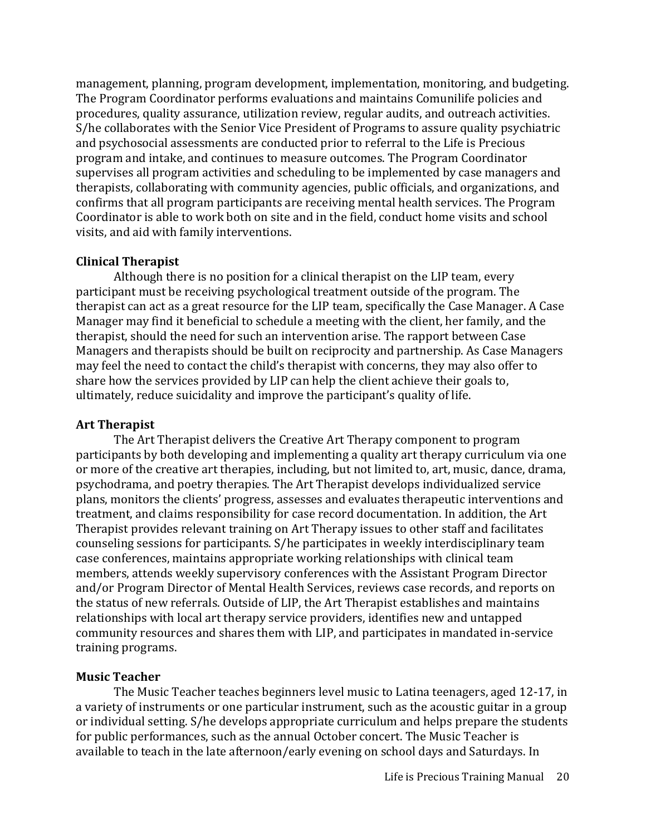management, planning, program development, implementation, monitoring, and budgeting. The Program Coordinator performs evaluations and maintains Comunilife policies and procedures, quality assurance, utilization review, regular audits, and outreach activities. S/he collaborates with the Senior Vice President of Programs to assure quality psychiatric and psychosocial assessments are conducted prior to referral to the Life is Precious program and intake, and continues to measure outcomes. The Program Coordinator supervises all program activities and scheduling to be implemented by case managers and therapists, collaborating with community agencies, public officials, and organizations, and confirms that all program participants are receiving mental health services. The Program Coordinator is able to work both on site and in the field, conduct home visits and school visits, and aid with family interventions.

#### **Clinical Therapist**

Although there is no position for a clinical therapist on the LIP team, every participant must be receiving psychological treatment outside of the program. The therapist can act as a great resource for the LIP team, specifically the Case Manager. A Case Manager may find it beneficial to schedule a meeting with the client, her family, and the therapist, should the need for such an intervention arise. The rapport between Case Managers and therapists should be built on reciprocity and partnership. As Case Managers may feel the need to contact the child's therapist with concerns, they may also offer to share how the services provided by LIP can help the client achieve their goals to, ultimately, reduce suicidality and improve the participant's quality of life.

### **Art Therapist**

The Art Therapist delivers the Creative Art Therapy component to program participants by both developing and implementing a quality art therapy curriculum via one or more of the creative art therapies, including, but not limited to, art, music, dance, drama, psychodrama, and poetry therapies. The Art Therapist develops individualized service plans, monitors the clients' progress, assesses and evaluates therapeutic interventions and treatment, and claims responsibility for case record documentation. In addition, the Art Therapist provides relevant training on Art Therapy issues to other staff and facilitates counseling sessions for participants. S/he participates in weekly interdisciplinary team case conferences, maintains appropriate working relationships with clinical team members, attends weekly supervisory conferences with the Assistant Program Director and/or Program Director of Mental Health Services, reviews case records, and reports on the status of new referrals. Outside of LIP, the Art Therapist establishes and maintains relationships with local art therapy service providers, identifies new and untapped community resources and shares them with LIP, and participates in mandated in-service training programs.

# **Music Teacher**

The Music Teacher teaches beginners level music to Latina teenagers, aged 12-17, in a variety of instruments or one particular instrument, such as the acoustic guitar in a group or individual setting. S/he develops appropriate curriculum and helps prepare the students for public performances, such as the annual October concert. The Music Teacher is available to teach in the late afternoon/early evening on school days and Saturdays. In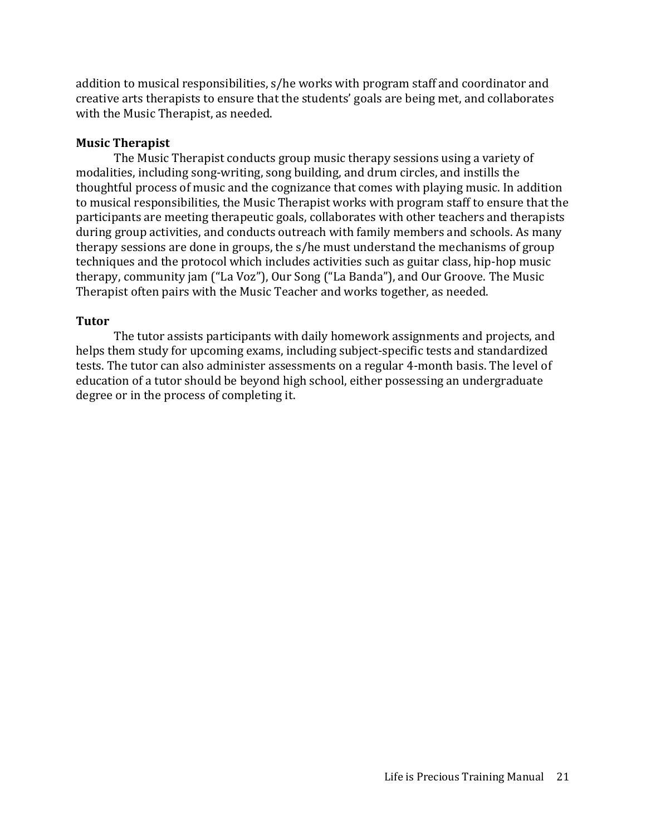addition to musical responsibilities, s/he works with program staff and coordinator and creative arts therapists to ensure that the students' goals are being met, and collaborates with the Music Therapist, as needed.

#### **Music Therapist**

The Music Therapist conducts group music therapy sessions using a variety of modalities, including song-writing, song building, and drum circles, and instills the thoughtful process of music and the cognizance that comes with playing music. In addition to musical responsibilities, the Music Therapist works with program staff to ensure that the participants are meeting therapeutic goals, collaborates with other teachers and therapists during group activities, and conducts outreach with family members and schools. As many therapy sessions are done in groups, the s/he must understand the mechanisms of group techniques and the protocol which includes activities such as guitar class, hip-hop music therapy, community jam ("La Voz"), Our Song ("La Banda"), and Our Groove. The Music Therapist often pairs with the Music Teacher and works together, as needed.

#### **Tutor**

The tutor assists participants with daily homework assignments and projects, and helps them study for upcoming exams, including subject-specific tests and standardized tests. The tutor can also administer assessments on a regular 4-month basis. The level of education of a tutor should be beyond high school, either possessing an undergraduate degree or in the process of completing it.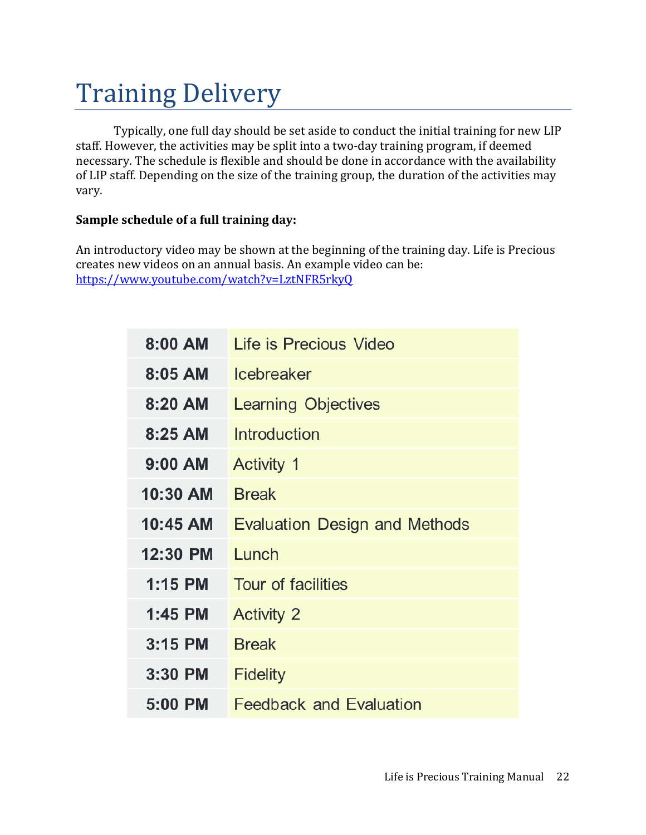# Training Delivery

Typically, one full day should be set aside to conduct the initial training for new LIP staff. However, the activities may be split into a two-day training program, if deemed necessary. The schedule is flexible and should be done in accordance with the availability of LIP staff. Depending on the size of the training group, the duration of the activities may vary.

# **Sample schedule of a full training day:**

An introductory video may be shown at the beginning of the training day. Life is Precious creates new videos on an annual basis. An example video can be: <https://www.youtube.com/watch?v=LztNFR5rkyQ>

| $8:00$ AM | Life is Precious Video               |
|-----------|--------------------------------------|
| $8:05$ AM | <b>Icebreaker</b>                    |
| $8:20$ AM | <b>Learning Objectives</b>           |
| $8:25$ AM | Introduction                         |
| $9:00$ AM | <b>Activity 1</b>                    |
| 10:30 AM  | <b>Break</b>                         |
| 10:45 AM  | <b>Evaluation Design and Methods</b> |
| 12:30 PM  | Lunch                                |
| $1:15$ PM | Tour of facilities                   |
| $1:45$ PM | <b>Activity 2</b>                    |
| $3:15$ PM | <b>Break</b>                         |
| 3:30 PM   | <b>Fidelity</b>                      |
| 5:00 PM   | <b>Feedback and Evaluation</b>       |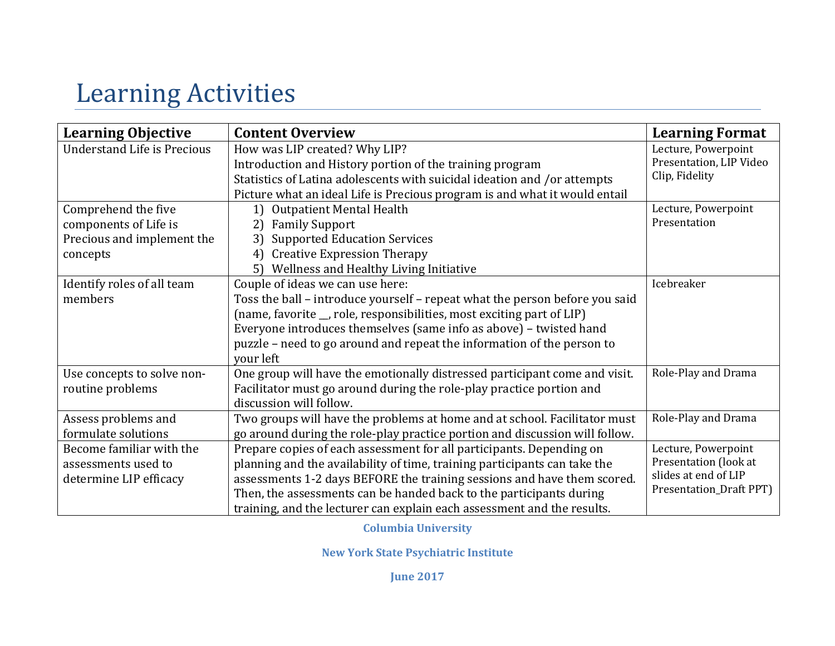# Learning Activities

| <b>Learning Objective</b>          | <b>Content Overview</b>                                                     | <b>Learning Format</b>  |
|------------------------------------|-----------------------------------------------------------------------------|-------------------------|
| <b>Understand Life is Precious</b> | How was LIP created? Why LIP?                                               | Lecture, Powerpoint     |
|                                    | Introduction and History portion of the training program                    | Presentation, LIP Video |
|                                    | Statistics of Latina adolescents with suicidal ideation and /or attempts    | Clip, Fidelity          |
|                                    | Picture what an ideal Life is Precious program is and what it would entail  |                         |
| Comprehend the five                | 1) Outpatient Mental Health                                                 | Lecture, Powerpoint     |
| components of Life is              | <b>Family Support</b><br>2)                                                 | Presentation            |
| Precious and implement the         | <b>Supported Education Services</b><br>3)                                   |                         |
| concepts                           | <b>Creative Expression Therapy</b><br>4)                                    |                         |
|                                    | Wellness and Healthy Living Initiative<br>5)                                |                         |
| Identify roles of all team         | Couple of ideas we can use here:                                            | Icebreaker              |
| members                            | Toss the ball - introduce yourself - repeat what the person before you said |                         |
|                                    | (name, favorite _, role, responsibilities, most exciting part of LIP)       |                         |
|                                    | Everyone introduces themselves (same info as above) - twisted hand          |                         |
|                                    | puzzle – need to go around and repeat the information of the person to      |                         |
|                                    | your left                                                                   |                         |
| Use concepts to solve non-         | One group will have the emotionally distressed participant come and visit.  | Role-Play and Drama     |
| routine problems                   | Facilitator must go around during the role-play practice portion and        |                         |
|                                    | discussion will follow.                                                     |                         |
| Assess problems and                | Two groups will have the problems at home and at school. Facilitator must   | Role-Play and Drama     |
| formulate solutions                | go around during the role-play practice portion and discussion will follow. |                         |
| Become familiar with the           | Prepare copies of each assessment for all participants. Depending on        | Lecture, Powerpoint     |
| assessments used to                | planning and the availability of time, training participants can take the   | Presentation (look at   |
| determine LIP efficacy             | assessments 1-2 days BEFORE the training sessions and have them scored.     | slides at end of LIP    |
|                                    | Then, the assessments can be handed back to the participants during         | Presentation_Draft PPT) |
|                                    | training, and the lecturer can explain each assessment and the results.     |                         |

**Columbia University**

**New York State Psychiatric Institute**

**June 2017**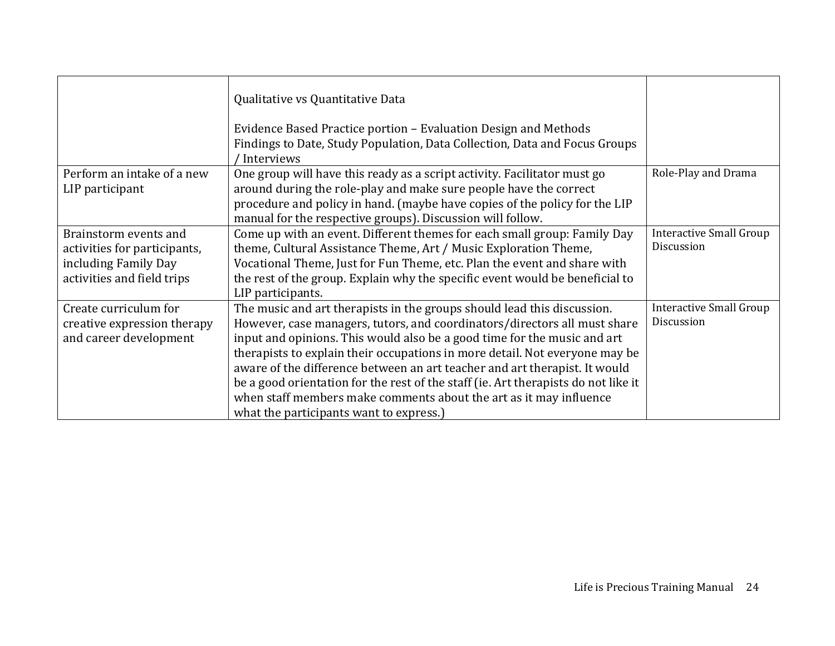|                                                                                                             | Qualitative vs Quantitative Data                                                                                                                                                                                                                                                                                                                                                                                                                                                                                                                                                                     |                                              |
|-------------------------------------------------------------------------------------------------------------|------------------------------------------------------------------------------------------------------------------------------------------------------------------------------------------------------------------------------------------------------------------------------------------------------------------------------------------------------------------------------------------------------------------------------------------------------------------------------------------------------------------------------------------------------------------------------------------------------|----------------------------------------------|
|                                                                                                             | Evidence Based Practice portion – Evaluation Design and Methods<br>Findings to Date, Study Population, Data Collection, Data and Focus Groups<br>Interviews                                                                                                                                                                                                                                                                                                                                                                                                                                          |                                              |
| Perform an intake of a new<br>LIP participant                                                               | One group will have this ready as a script activity. Facilitator must go<br>around during the role-play and make sure people have the correct<br>procedure and policy in hand. (maybe have copies of the policy for the LIP<br>manual for the respective groups). Discussion will follow.                                                                                                                                                                                                                                                                                                            | Role-Play and Drama                          |
| Brainstorm events and<br>activities for participants,<br>including Family Day<br>activities and field trips | Come up with an event. Different themes for each small group: Family Day<br>theme, Cultural Assistance Theme, Art / Music Exploration Theme,<br>Vocational Theme, Just for Fun Theme, etc. Plan the event and share with<br>the rest of the group. Explain why the specific event would be beneficial to<br>LIP participants.                                                                                                                                                                                                                                                                        | Interactive Small Group<br>Discussion        |
| Create curriculum for<br>creative expression therapy<br>and career development                              | The music and art therapists in the groups should lead this discussion.<br>However, case managers, tutors, and coordinators/directors all must share<br>input and opinions. This would also be a good time for the music and art<br>therapists to explain their occupations in more detail. Not everyone may be<br>aware of the difference between an art teacher and art therapist. It would<br>be a good orientation for the rest of the staff (ie. Art therapists do not like it<br>when staff members make comments about the art as it may influence<br>what the participants want to express.) | <b>Interactive Small Group</b><br>Discussion |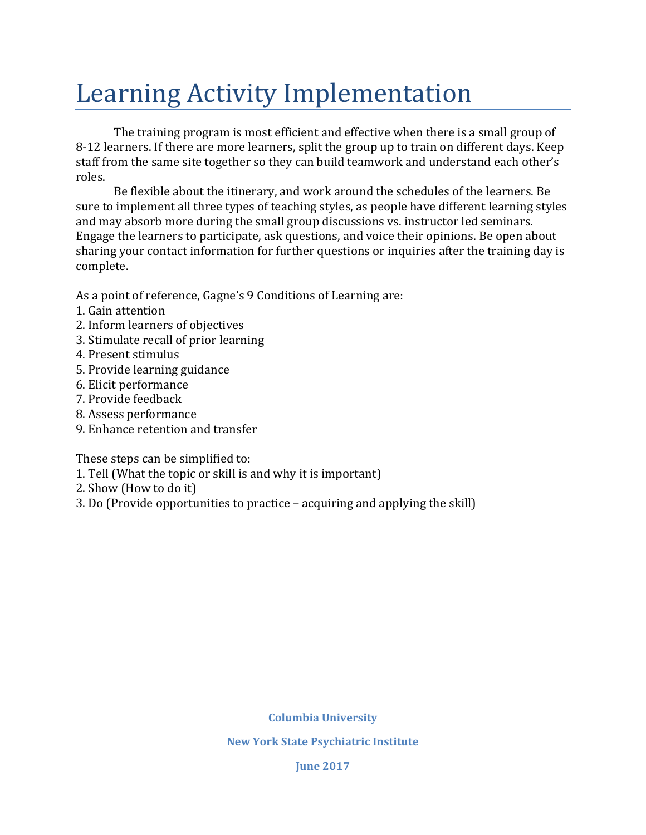# Learning Activity Implementation

The training program is most efficient and effective when there is a small group of 8-12 learners. If there are more learners, split the group up to train on different days. Keep staff from the same site together so they can build teamwork and understand each other's roles.

Be flexible about the itinerary, and work around the schedules of the learners. Be sure to implement all three types of teaching styles, as people have different learning styles and may absorb more during the small group discussions vs. instructor led seminars. Engage the learners to participate, ask questions, and voice their opinions. Be open about sharing your contact information for further questions or inquiries after the training day is complete.

As a point of reference, Gagne's 9 Conditions of Learning are:

- 1. Gain attention
- 2. Inform learners of objectives
- 3. Stimulate recall of prior learning
- 4. Present stimulus
- 5. Provide learning guidance
- 6. Elicit performance
- 7. Provide feedback
- 8. Assess performance
- 9. Enhance retention and transfer

These steps can be simplified to:

- 1. Tell (What the topic or skill is and why it is important)
- 2. Show (How to do it)
- 3. Do (Provide opportunities to practice acquiring and applying the skill)

**Columbia University**

**New York State Psychiatric Institute**

**June 2017**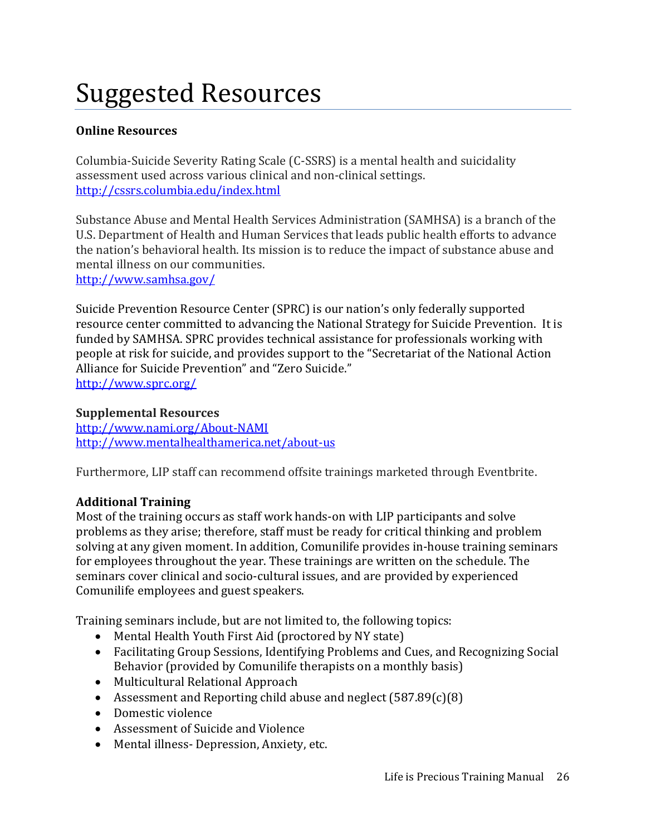# Suggested Resources

# **Online Resources**

Columbia-Suicide Severity Rating Scale (C-SSRS) is a mental health and suicidality assessment used across various clinical and non-clinical settings. <http://cssrs.columbia.edu/index.html>

Substance Abuse and Mental Health Services Administration (SAMHSA) is a branch of the U.S. Department of Health and Human Services that leads public health efforts to advance the nation's behavioral health. Its mission is to reduce the impact of substance abuse and mental illness on our communities. <http://www.samhsa.gov/>

Suicide Prevention Resource Center (SPRC) is our nation's only federally supported resource center committed to advancing the National Strategy for Suicide Prevention. It is funded by SAMHSA. SPRC provides technical assistance for professionals working with people at risk for suicide, and provides support to the "Secretariat of the National Action Alliance for Suicide Prevention" and "Zero Suicide." <http://www.sprc.org/>

#### **Supplemental Resources**

<http://www.nami.org/About-NAMI> <http://www.mentalhealthamerica.net/about-us>

Furthermore, LIP staff can recommend offsite trainings marketed through Eventbrite.

# **Additional Training**

Most of the training occurs as staff work hands-on with LIP participants and solve problems as they arise; therefore, staff must be ready for critical thinking and problem solving at any given moment. In addition, Comunilife provides in-house training seminars for employees throughout the year. These trainings are written on the schedule. The seminars cover clinical and socio-cultural issues, and are provided by experienced Comunilife employees and guest speakers.

Training seminars include, but are not limited to, the following topics:

- Mental Health Youth First Aid (proctored by NY state)
- Facilitating Group Sessions, Identifying Problems and Cues, and Recognizing Social Behavior (provided by Comunilife therapists on a monthly basis)
- Multicultural Relational Approach
- Assessment and Reporting child abuse and neglect (587.89(c)(8)
- Domestic violence
- Assessment of Suicide and Violence
- Mental illness-Depression, Anxiety, etc.